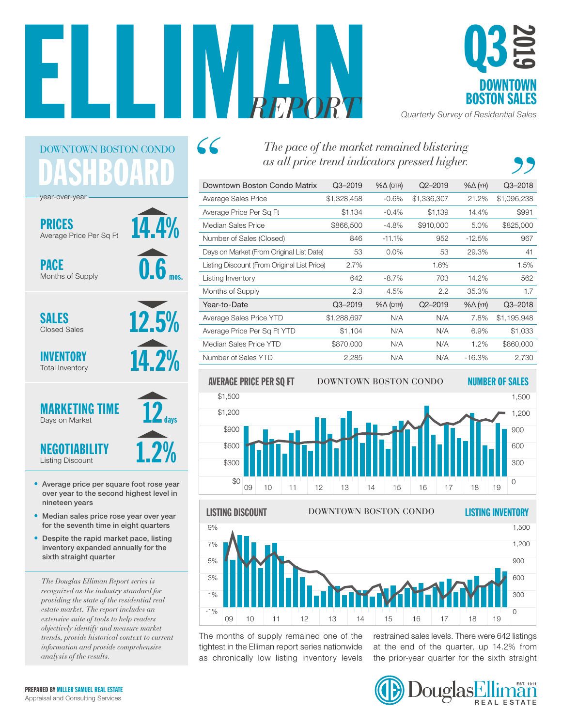

 $66$ 



*REPORT Quarterly Survey of Residential Sales*

# DASHBOARD DOWNTOWN BOSTON CONDO

14.4%

0.6

mos.

12.5%

14.2%

days

year-over-year

PRICES Average Price Per Sq Ft

PACE Months of Supply

SALES Closed Sales

INVENTORY Total Inventory



- Average price per square foot rose year over year to the second highest level in nineteen years
- Median sales price rose year over year for the seventh time in eight quarters
- Despite the rapid market pace, listing inventory expanded annually for the sixth straight quarter

*The Douglas Elliman Report series is recognized as the industry standard for providing the state of the residential real estate market. The report includes an extensive suite of tools to help readers objectively identify and measure market trends, provide historical context to current information and provide comprehensive analysis of the results.*

## *The pace of the market remained blistering as all price trend indicators pressed higher.*

| Downtown Boston Condo Matrix                | $Q3 - 2019$ | $% \triangle (QTR)$ | $Q2 - 2019$ | $% \triangle (YR)$ | $Q3 - 2018$ |
|---------------------------------------------|-------------|---------------------|-------------|--------------------|-------------|
| Average Sales Price                         | \$1,328,458 | $-0.6%$             | \$1,336,307 | 21.2%              | \$1,096,238 |
| Average Price Per Sq Ft                     | \$1,134     | $-0.4%$             | \$1,139     | 14.4%              | \$991       |
| Median Sales Price                          | \$866,500   | $-4.8%$             | \$910,000   | 5.0%               | \$825,000   |
| Number of Sales (Closed)                    | 846         | $-11.1%$            | 952         | $-12.5%$           | 967         |
| Days on Market (From Original List Date)    | 53          | $0.0\%$             | 53          | 29.3%              | 41          |
| Listing Discount (From Original List Price) | 2.7%        |                     | 1.6%        |                    | 1.5%        |
| Listing Inventory                           | 642         | $-8.7\%$            | 703         | 14.2%              | 562         |
| Months of Supply                            | 2.3         | 4.5%                | 2.2         | 35.3%              | 1.7         |
| Year-to-Date                                | $Q3 - 2019$ | $% \triangle (QTR)$ | $Q2 - 2019$ | $% \triangle (YR)$ | $Q3 - 2018$ |
| Average Sales Price YTD                     | \$1,288,697 | N/A                 | N/A         | 7.8%               | \$1,195,948 |
| Average Price Per Sq Ft YTD                 | \$1,104     | N/A                 | N/A         | 6.9%               | \$1,033     |
| Median Sales Price YTD                      | \$870,000   | N/A                 | N/A         | 1.2%               | \$860,000   |
| Number of Sales YTD                         | 2,285       | N/A                 | N/A         | $-16.3%$           | 2,730       |





The months of supply remained one of the tightest in the Elliman report series nationwide as chronically low listing inventory levels the prior-year quarter for the sixt

restrained sales levels. There were 642 listings at the end of the quarter, up 14.2% from the prior-year quarter for the sixth straight

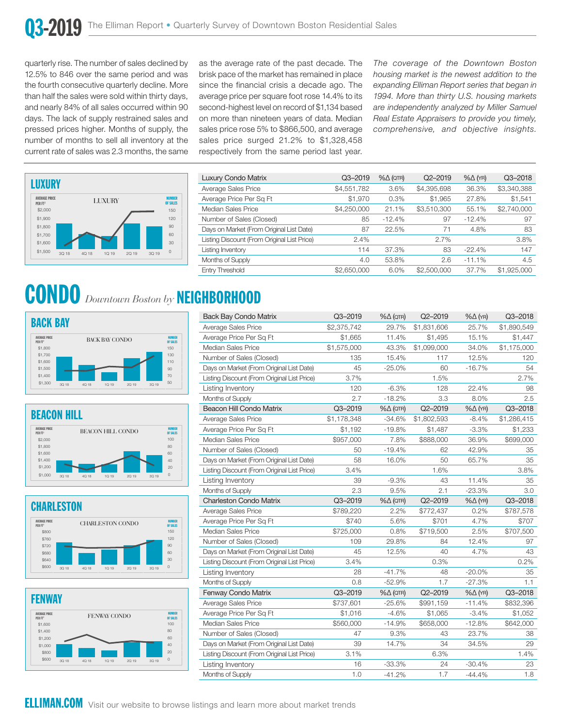quarterly rise. The number of sales declined by 12.5% to 846 over the same period and was the fourth consecutive quarterly decline. More than half the sales were sold within thirty days, and nearly 84% of all sales occurred within 90 days. The lack of supply restrained sales and pressed prices higher. Months of supply, the number of months to sell all inventory at the current rate of sales was 2.3 months, the same



#### **CONDO** Downtown Boston by **NEIGHBORHOOD** UR. 60 y \$1,700  $\bullet$ \$1,900 \$2,000 0 \$1,500 \$1,600 \$1,700 **3,500 A** 300 A 300 A 300 A 300 A 300 A 300 A 300 A 300 A 300 A 300 A 300 A 300 A 300 A 300 A 300 A 300 A 300 A 300 A 300 A 300 A 300 A 300 A 300 A 300 A 300 A 300 A 300 A 300 A 300 A 300 A 300 A 300 A 300 A 300 A 300 A 30

80

50

150

100<br>100

150

100

40









AVERAGE PRICE

\$1,000

\$1,400 \$1,600

\$1,800

\$1,800

\$640

\$800

\$2,000

as the average rate of the past decade. The brisk pace of the market has remained in place since the financial crisis a decade ago. The average price per square foot rose 14.4% to its second-highest level on record of \$1,134 based on more than nineteen years of data. Median sales price rose 5% to \$866,500, and average sales price surged 21.2% to \$1,328,458 respectively from the same period last year.

*The coverage of the Downtown Boston housing market is the newest addition to the expanding Elliman Report series that began in 1994. More than thirty U.S. housing markets are independently analyzed by Miller Samuel Real Estate Appraisers to provide you timely, comprehensive, and objective insights.*

| Luxury Condo Matrix                         | Q3-2019     | $% \triangle (QTR)$ | $Q2 - 2019$ | $% \triangle (YR)$ | $Q3 - 2018$ |
|---------------------------------------------|-------------|---------------------|-------------|--------------------|-------------|
| Average Sales Price                         | \$4,551,782 | 3.6%                | \$4,395,698 | 36.3%              | \$3,340,388 |
| Average Price Per Sq Ft                     | \$1,970     | 0.3%                | \$1,965     | 27.8%              | \$1,541     |
| Median Sales Price                          | \$4,250,000 | 21.1%               | \$3,510,300 | 55.1%              | \$2,740,000 |
| Number of Sales (Closed)                    | 85          | $-12.4%$            | 97          | $-12.4%$           | 97          |
| Days on Market (From Original List Date)    | 87          | 22.5%               | 71          | 4.8%               | 83          |
| Listing Discount (From Original List Price) | 2.4%        |                     | 2.7%        |                    | 3.8%        |
| Listing Inventory                           | 114         | 37.3%               | 83          | $-22.4%$           | 147         |
| Months of Supply                            | 4.0         | 53.8%               | 2.6         | $-11.1%$           | 4.5         |
| Entry Threshold                             | \$2,650,000 | 6.0%                | \$2,500,000 | 37.7%              | \$1,925,000 |

| <b>Back Bay Condo Matrix</b>                | Q3-2019     | $% \triangle (QTR)$ | Q2-2019     | $% \triangle (YR)$ | Q3-2018     |
|---------------------------------------------|-------------|---------------------|-------------|--------------------|-------------|
| Average Sales Price                         | \$2,375,742 | 29.7%               | \$1,831,606 | 25.7%              | \$1,890,549 |
| Average Price Per Sg Ft                     | \$1,665     | 11.4%               | \$1,495     | 15.1%              | \$1,447     |
| Median Sales Price                          | \$1,575,000 | 43.3%               | \$1,099,000 | 34.0%              | \$1,175,000 |
| Number of Sales (Closed)                    | 135         | 15.4%               | 117         | 12.5%              | 120         |
| Days on Market (From Original List Date)    | 45          | $-25.0%$            | 60          | $-16.7%$           | 54          |
| Listing Discount (From Original List Price) | 3.7%        |                     | 1.5%        |                    | 2.7%        |
| Listing Inventory                           | 120         | $-6.3%$             | 128         | 22.4%              | 98          |
| Months of Supply                            | 2.7         | $-18.2%$            | 3.3         | 8.0%               | 2.5         |
| Beacon Hill Condo Matrix                    | Q3-2019     | $% \triangle (QTR)$ | Q2-2019     | $% \triangle (YR)$ | Q3-2018     |
| Average Sales Price                         | \$1,178,348 | $-34.6%$            | \$1,802,593 | $-8.4%$            | \$1,286,415 |
| Average Price Per Sq Ft                     | \$1,192     | $-19.8%$            | \$1,487     | $-3.3%$            | \$1,233     |
| Median Sales Price                          | \$957,000   | 7.8%                | \$888,000   | 36.9%              | \$699,000   |
| Number of Sales (Closed)                    | 50          | $-19.4%$            | 62          | 42.9%              | 35          |
| Days on Market (From Original List Date)    | 58          | 16.0%               | 50          | 65.7%              | 35          |
| Listing Discount (From Original List Price) | 3.4%        |                     | 1.6%        |                    | 3.8%        |
| Listing Inventory                           | 39          | $-9.3%$             | 43          | 11.4%              | 35          |
| Months of Supply                            | 2.3         | 9.5%                | 2.1         | $-23.3%$           | 3.0         |
| <b>Charleston Condo Matrix</b>              | Q3-2019     | $% \triangle (QTR)$ | $Q2 - 2019$ | $% \triangle (YR)$ | Q3-2018     |
| Average Sales Price                         | \$789,220   | 2.2%                | \$772,437   | 0.2%               | \$787,578   |
| Average Price Per Sg Ft                     | \$740       | 5.6%                | \$701       | 4.7%               | \$707       |
| Median Sales Price                          | \$725,000   | 0.8%                | \$719,500   | 2.5%               | \$707,500   |
| Number of Sales (Closed)                    | 109         | 29.8%               | 84          | 12.4%              | 97          |
| Days on Market (From Original List Date)    | 45          | 12.5%               | 40          | 4.7%               | 43          |
| Listing Discount (From Original List Price) | 3.4%        |                     | 0.3%        |                    | 0.2%        |
| Listing Inventory                           | 28          | $-41.7%$            | 48          | $-20.0\%$          | 35          |
| Months of Supply                            | 0.8         | $-52.9%$            | 1.7         | $-27.3%$           | 1.1         |
| Fenway Condo Matrix                         | Q3-2019     | $% \triangle (QTR)$ | Q2-2019     | $% \triangle (YR)$ | Q3-2018     |
| Average Sales Price                         | \$737,601   | $-25.6%$            | \$991,159   | $-11.4%$           | \$832,396   |
| Average Price Per Sq Ft                     | \$1,016     | $-4.6%$             | \$1,065     | $-3.4%$            | \$1,052     |
| Median Sales Price                          | \$560,000   | $-14.9%$            | \$658,000   | $-12.8%$           | \$642,000   |
| Number of Sales (Closed)                    | 47          | 9.3%                | 43          | 23.7%              | 38          |
| Days on Market (From Original List Date)    | 39          | 14.7%               | 34          | 34.5%              | 29          |
| Listing Discount (From Original List Price) | 3.1%        |                     | 6.3%        |                    | 1.4%        |
| Listing Inventory                           | 16          | $-33.3%$            | 24          | $-30.4%$           | 23          |
|                                             |             |                     |             |                    |             |

Visit our website to browse listings and learn more about market trends 0 6 .<br>13 rowse listings and learn more about market tr <u>IM</u>  $\circ$ an  $\overline{c}$  $\overline{\text{IM}}$ l.COM Visit our website to browse listings and learn more about market trend s and learn more about market trends \$920 \$1,000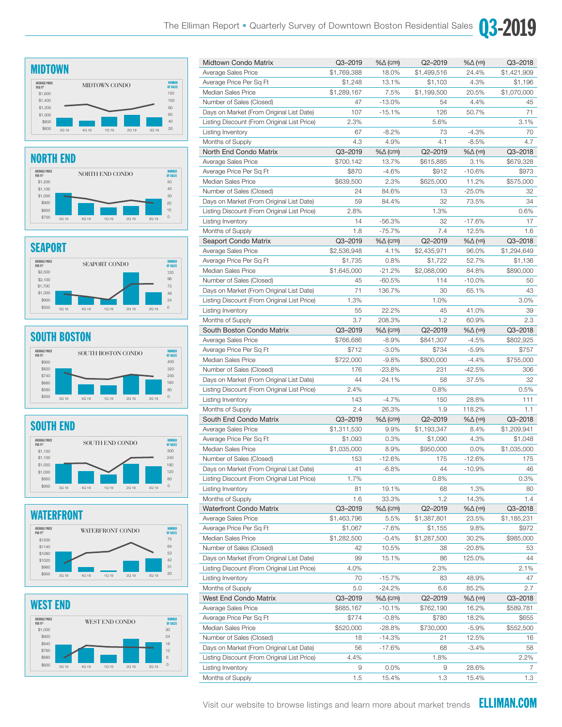$\sim$  300  $\mu$  300  $\mu$  300  $\mu$  300  $\mu$  300  $\mu$  300  $\mu$  300  $\mu$  300  $\mu$  300  $\mu$ 

\$1,050

60

400

OF SALES

24

72

7

240

OF SALES

30 40

OF SALES

0

31

0 60

180 240 Q3-2019

%∆ (ατr) Q2–2019 %∆ (γr) Q3–2018

180





\$1,200



NORTH END CONDO NUMBER

SEAPORT CONDO NUMBER

SOUTH BOSTON CONDO NUMBER

#### **SEAPORT** EAP<sup>(</sup> \$1,000 \$1,100

PER FT2

\$900

\$1,700 \$2,100

AVERAGE PRICE PER FT2



#### **SOUTH BOSTON CONDOM** v. 111 AVERAGE PRICE



#### SOUTH END **OUTH END**  $\overline{\phantom{a}}$

PER FT2



#### WATERFRONT  $-$ 3Q 18 4Q 18 1Q 19 2Q 19 3Q 19 \$1080\$1140\$1200 AVERAGE PRICE PER FT2 \$950 \$1,000 WATERFRONT CONDO NUMBER

\$1020

\$900 \$950

\$600

\$960

\$840





| Average Sales Price                         | \$1,769,388 | 18.0%               | \$1,499,516 | 24.4%              | \$1,421,909 |
|---------------------------------------------|-------------|---------------------|-------------|--------------------|-------------|
| Average Price Per Sq Ft                     | \$1,248     | 13.1%               | \$1,103     | 4.3%               | \$1,196     |
| Median Sales Price                          | \$1,289,167 | 7.5%                | \$1,199,500 | 20.5%              | \$1,070,000 |
| Number of Sales (Closed)                    | 47          | $-13.0%$            | 54          | 4.4%               | 45          |
| Days on Market (From Original List Date)    | 107         | $-15.1%$            | 126         | 50.7%              | 71          |
| Listing Discount (From Original List Price) | 2.3%        |                     | 5.6%        |                    | 3.1%        |
| Listing Inventory                           | 67          | $-8.2%$             | 73          | $-4.3%$            | 70          |
| Months of Supply                            | 4.3         | 4.9%                | 4.1         | $-8.5%$            | 4.7         |
| North End Condo Matrix                      | Q3-2019     | $\% \Delta$ (QTR)   | Q2-2019     | $% \triangle (YR)$ | Q3-2018     |
| Average Sales Price                         | \$700,142   | 13.7%               | \$615,885   | 3.1%               | \$679,328   |
| Average Price Per Sq Ft                     | \$870       | -4.6%               | \$912       | $-10.6%$           | \$973       |
| Median Sales Price                          | \$639,500   | 2.3%                | \$625,000   | 11.2%              | \$575,000   |
| Number of Sales (Closed)                    | 24          | 84.6%               | 13          | $-25.0%$           | 32          |
| Days on Market (From Original List Date)    | 59          | 84.4%               | 32          | 73.5%              | 34          |
| Listing Discount (From Original List Price) | 2.8%        |                     | 1.3%        |                    | 0.6%        |
| Listing Inventory                           | 14          | $-56.3%$            | 32          | $-17.6%$           | 17          |
| Months of Supply                            | 1.8         | $-75.7%$            | 7.4         | 12.5%              | 1.6         |
| Seaport Condo Matrix                        | Q3-2019     | $\% \Delta$ (QTR)   | Q2-2019     | $% \triangle (YR)$ | Q3-2018     |
| Average Sales Price                         | \$2,536,948 | 4.1%                | \$2,435,971 | 96.0%              | \$1,294,649 |
| Average Price Per Sq Ft                     | \$1,735     | 0.8%                | \$1,722     | 52.7%              | \$1,136     |
| Median Sales Price                          | \$1,645,000 | $-21.2%$            | \$2,088,090 | 84.8%              | \$890,000   |
| Number of Sales (Closed)                    | 45          | $-60.5%$            | 114         | $-10.0\%$          | 50          |
| Days on Market (From Original List Date)    | 71          | 136.7%              | 30          | 65.1%              | 43          |
| Listing Discount (From Original List Price) | 1.3%        |                     | 1.0%        |                    | 3.0%        |
| Listing Inventory                           | 55          | 22.2%               | 45          | 41.0%              | 39          |
| Months of Supply                            | 3.7         | 208.3%              | 1.2         | 60.9%              | 2.3         |
| South Boston Condo Matrix                   | Q3-2019     | $% \triangle (QTR)$ | Q2-2019     | $% \triangle (YR)$ | Q3-2018     |
| Average Sales Price                         | \$766,686   | $-8.9%$             | \$841,307   | $-4.5%$            | \$802,925   |
| Average Price Per Sq Ft                     | \$712       | $-3.0%$             | \$734       | $-5.9%$            | \$757       |
| Median Sales Price                          | \$722,000   | $-9.8%$             | \$800,000   | $-4.4%$            | \$755,000   |
| Number of Sales (Closed)                    | 176         | $-23.8%$            | 231         | $-42.5%$           | 306         |
| Days on Market (From Original List Date)    | 44          | $-24.1%$            | 58          | 37.5%              | 32          |
| Listing Discount (From Original List Price) | 2.4%        |                     | 0.8%        |                    | 0.5%        |
| Listing Inventory                           | 143         | $-4.7%$             | 150         | 28.8%              | 111         |
| Months of Supply                            | 2.4         | 26.3%               | 1.9         | 118.2%             | 1.1         |
| South End Condo Matrix                      | Q3-2019     | $% \triangle (QTR)$ | Q2-2019     | $% \triangle (YR)$ | Q3-2018     |
| Average Sales Price                         | \$1,311,530 | 9.9%                | \$1,193,347 | 8.4%               | \$1,209,941 |
| Average Price Per Sq Ft                     | \$1,093     | 0.3%                | \$1,090     | 4.3%               | \$1,048     |
| Median Sales Price                          | \$1,035,000 | 8.9%                | \$950,000   | 0.0%               | \$1,035,000 |
| Number of Sales (Closed)                    | 153         | $-12.6%$            | 175         | $-12.6%$           | 175         |
| Days on Market (From Original List Date)    | 41          | $-6.8%$             | 44          | $-10.9%$           | 46          |
| Listing Discount (From Original List Price) | 1.7%        |                     | 0.8%        |                    | 0.3%        |
| Listing Inventory                           | 81          | 19.1%               | 68          | 1.3%               | 80          |
| Months of Supply                            | 1.6         | 33.3%               | 1.2         | 14.3%              | 1.4         |
| <b>Waterfront Condo Matrix</b>              | Q3-2019     | $% \triangle (QTR)$ | Q2-2019     | $% \triangle (YR)$ | Q3-2018     |
| Average Sales Price                         | \$1,463,796 | 5.5%                | \$1,387,801 | 23.5%              | \$1,185,231 |
| Average Price Per Sq Ft                     | \$1,067     | $-7.6%$             | \$1,155     | 9.8%               | \$972       |
| Median Sales Price                          | \$1,282,500 | $-0.4%$             | \$1,287,500 | 30.2%              | \$985,000   |
| Number of Sales (Closed)                    | 42          | 10.5%               | 38          | $-20.8%$           | 53          |
| Days on Market (From Original List Date)    | 99          | 15.1%               | 86          | 125.0%             | 44          |
| Listing Discount (From Original List Price) | 4.0%        |                     | 2.3%        |                    | 2.1%        |
| Listing Inventory                           | 70          | $-15.7%$            | 83          | 48.9%              | 47          |
| Months of Supply                            | 5.0         | $-24.2%$            | 6.6         | 85.2%              | 2.7         |
| West End Condo Matrix                       | Q3-2019     | $\% \Delta$ (QTR)   | Q2-2019     | %∆ (YR)            | Q3-2018     |
| Average Sales Price                         | \$685,167   | $-10.1%$            | \$762,190   | 16.2%              | \$589,781   |
| Average Price Per Sq Ft                     | \$774       | $-0.8%$             | \$780       | 18.2%              | \$655       |
| Median Sales Price                          | \$520,000   | $-28.8%$            | \$730,000   | $-5.9%$            | \$552,500   |
| Number of Sales (Closed)                    | 18          | $-14.3%$            | 21          | 12.5%              | 16          |
| Days on Market (From Original List Date)    | 56          | $-17.6%$            | 68          | $-3.4%$            | 58          |
| Listing Discount (From Original List Price) | 4.4%        |                     | 1.8%        |                    | 2.2%        |
| Listing Inventory                           | 9           | 0.0%                | 9           | 28.6%              | 7           |
| Months of Supply                            | 1.5         | 15.4%               | 1.3         | 15.4%              | 1.3         |

Visit our website to browse listings and learn more about market trends **ELLIMAN.COM**